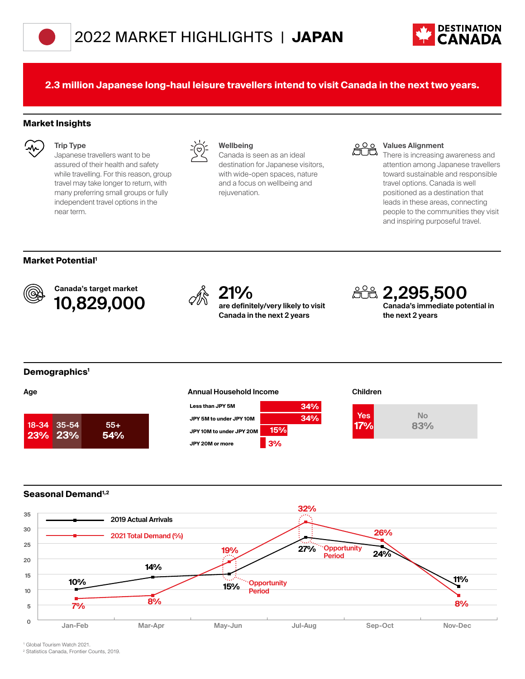



**2.3 million Japanese long-haul leisure travellers intend to visit Canada in the next two years.**

#### **Market Insights**



**Trip Type** Japanese travellers want to be assured of their health and safety while travelling. For this reason, group travel may take longer to return, with many preferring small groups or fully independent travel options in the near term.



#### **Wellbeing**

Canada is seen as an ideal destination for Japanese visitors, with wide-open spaces, nature and a focus on wellbeing and rejuvenation.



#### **Values Alignment**

There is increasing awareness and attention among Japanese travellers toward sustainable and responsible travel options. Canada is well positioned as a destination that leads in these areas, connecting people to the communities they visit and inspiring purposeful travel.

### **Market Potential1**



Canada's target market **10,829,000** <sup>21%</sup> are definited and a set of the set of  $\sqrt[2]{\mathbb{R}}$  21%



**are definitely/very likely to visit Canada in the next 2 years**



**the next 2 years**

#### **Demographics1**

| 18-34 35-54    | $55+$ |
|----------------|-------|
| <b>23% 23%</b> | 54%   |

## **Age the Children Children Annual Household Income Children**



### **Seasonal Demand1,2**



1 Global Tourism Watch 2021.

2 Statistics Canada, Frontier Counts, 2019.